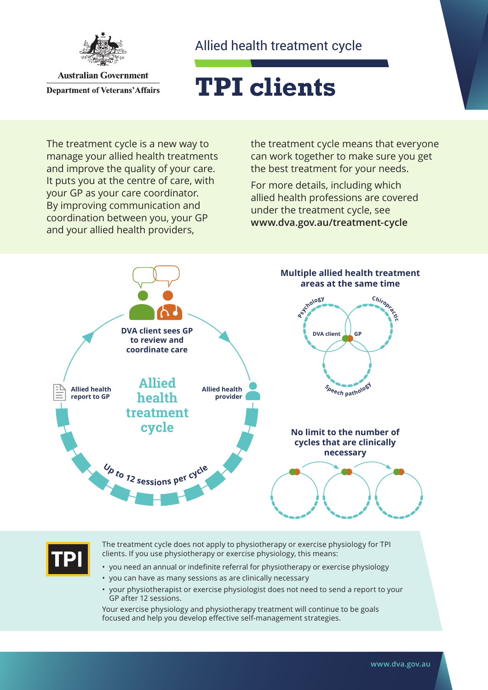

**Australian Government Department of Veterans' Affairs** 

### Allied health treatment cycle

# **TPI clients**

The treatment cycle is a new way to manage your allied health treatments and improve the quality of your care. It puts you at the centre of care, with your GP as your care coordinator. By improving communication and coordination between you, your GP and your allied health providers,

the treatment cycle means that everyone can work together to make sure you get the best treatment for your needs.

For more details, including which allied health professions are covered under the treatment cycle, see **[www.dva.gov.au](http://www.dva.gov.au/treatment-cycle)/treatment-cycle**



The treatment cycle does not apply to physiotherapy or exercise physiology for TPI clients. If you use physiotherapy or exercise physiology, this means:

- you need an annual or indefinite referral for physiotherapy or exercise physiology
- you can have as many sessions as are clinically necessary
- your physiotherapist or exercise physiologist does not need to send a report to your GP after 12 sessions.

Your exercise physiology and physiotherapy treatment will continue to be goals focused and help you develop effective self-management strategies.